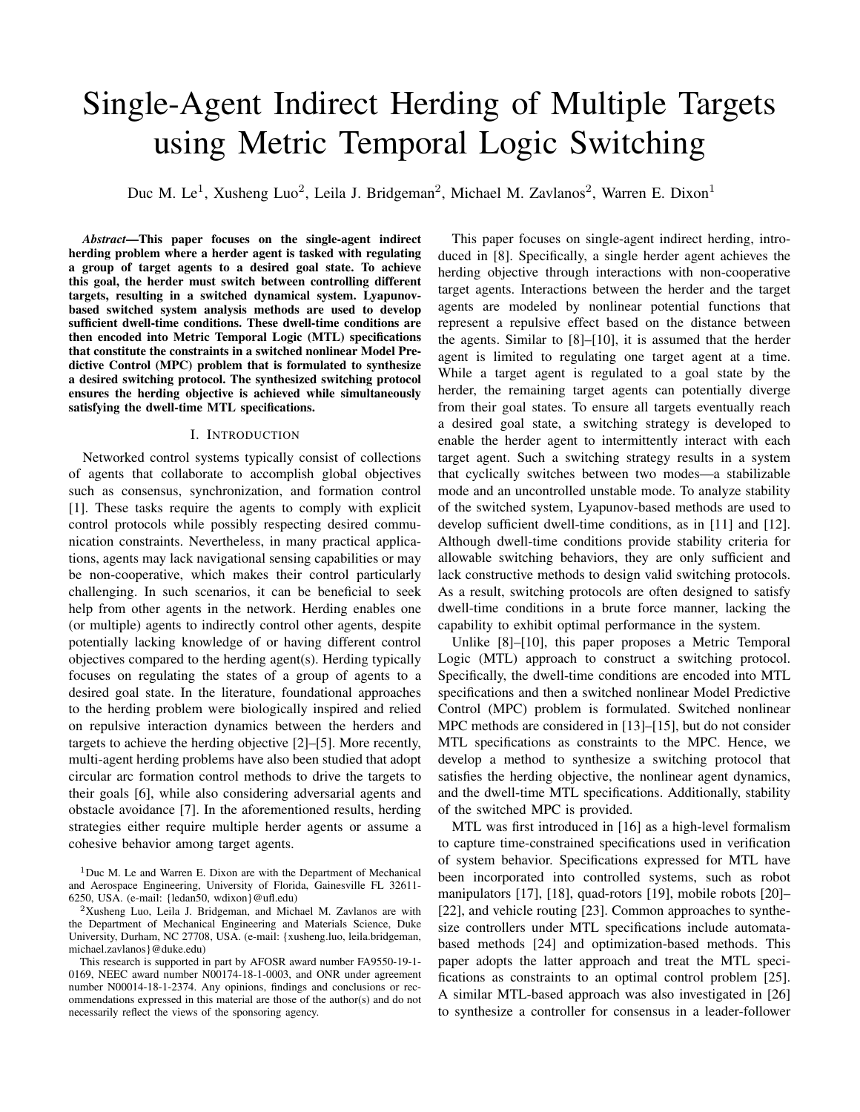# Single-Agent Indirect Herding of Multiple Targets using Metric Temporal Logic Switching

Duc M. Le<sup>1</sup>, Xusheng Luo<sup>2</sup>, Leila J. Bridgeman<sup>2</sup>, Michael M. Zavlanos<sup>2</sup>, Warren E. Dixon<sup>1</sup>

*Abstract*—This paper focuses on the single-agent indirect herding problem where a herder agent is tasked with regulating a group of target agents to a desired goal state. To achieve this goal, the herder must switch between controlling different targets, resulting in a switched dynamical system. Lyapunovbased switched system analysis methods are used to develop sufficient dwell-time conditions. These dwell-time conditions are then encoded into Metric Temporal Logic (MTL) specifications that constitute the constraints in a switched nonlinear Model Predictive Control (MPC) problem that is formulated to synthesize a desired switching protocol. The synthesized switching protocol ensures the herding objective is achieved while simultaneously satisfying the dwell-time MTL specifications.

#### I. INTRODUCTION

Networked control systems typically consist of collections of agents that collaborate to accomplish global objectives such as consensus, synchronization, and formation control [1]. These tasks require the agents to comply with explicit control protocols while possibly respecting desired communication constraints. Nevertheless, in many practical applications, agents may lack navigational sensing capabilities or may be non-cooperative, which makes their control particularly challenging. In such scenarios, it can be beneficial to seek help from other agents in the network. Herding enables one (or multiple) agents to indirectly control other agents, despite potentially lacking knowledge of or having different control objectives compared to the herding agent(s). Herding typically focuses on regulating the states of a group of agents to a desired goal state. In the literature, foundational approaches to the herding problem were biologically inspired and relied on repulsive interaction dynamics between the herders and targets to achieve the herding objective [2]–[5]. More recently, multi-agent herding problems have also been studied that adopt circular arc formation control methods to drive the targets to their goals [6], while also considering adversarial agents and obstacle avoidance [7]. In the aforementioned results, herding strategies either require multiple herder agents or assume a cohesive behavior among target agents.

This paper focuses on single-agent indirect herding, introduced in [8]. Specifically, a single herder agent achieves the herding objective through interactions with non-cooperative target agents. Interactions between the herder and the target agents are modeled by nonlinear potential functions that represent a repulsive effect based on the distance between the agents. Similar to [8]–[10], it is assumed that the herder agent is limited to regulating one target agent at a time. While a target agent is regulated to a goal state by the herder, the remaining target agents can potentially diverge from their goal states. To ensure all targets eventually reach a desired goal state, a switching strategy is developed to enable the herder agent to intermittently interact with each target agent. Such a switching strategy results in a system that cyclically switches between two modes—a stabilizable mode and an uncontrolled unstable mode. To analyze stability of the switched system, Lyapunov-based methods are used to develop sufficient dwell-time conditions, as in [11] and [12]. Although dwell-time conditions provide stability criteria for allowable switching behaviors, they are only sufficient and lack constructive methods to design valid switching protocols. As a result, switching protocols are often designed to satisfy dwell-time conditions in a brute force manner, lacking the capability to exhibit optimal performance in the system.

Unlike [8]–[10], this paper proposes a Metric Temporal Logic (MTL) approach to construct a switching protocol. Specifically, the dwell-time conditions are encoded into MTL specifications and then a switched nonlinear Model Predictive Control (MPC) problem is formulated. Switched nonlinear MPC methods are considered in [13]–[15], but do not consider MTL specifications as constraints to the MPC. Hence, we develop a method to synthesize a switching protocol that satisfies the herding objective, the nonlinear agent dynamics, and the dwell-time MTL specifications. Additionally, stability of the switched MPC is provided.

MTL was first introduced in [16] as a high-level formalism to capture time-constrained specifications used in verification of system behavior. Specifications expressed for MTL have been incorporated into controlled systems, such as robot manipulators [17], [18], quad-rotors [19], mobile robots [20]– [22], and vehicle routing [23]. Common approaches to synthesize controllers under MTL specifications include automatabased methods [24] and optimization-based methods. This paper adopts the latter approach and treat the MTL specifications as constraints to an optimal control problem [25]. A similar MTL-based approach was also investigated in [26] to synthesize a controller for consensus in a leader-follower

<sup>&</sup>lt;sup>1</sup>Duc M. Le and Warren E. Dixon are with the Department of Mechanical and Aerospace Engineering, University of Florida, Gainesville FL 32611- 6250, USA. (e-mail: {ledan50, wdixon}@ufl.edu)

<sup>2</sup>Xusheng Luo, Leila J. Bridgeman, and Michael M. Zavlanos are with the Department of Mechanical Engineering and Materials Science, Duke University, Durham, NC 27708, USA. (e-mail: {xusheng.luo, leila.bridgeman, michael.zavlanos}@duke.edu)

This research is supported in part by AFOSR award number FA9550-19-1- 0169, NEEC award number N00174-18-1-0003, and ONR under agreement number N00014-18-1-2374. Any opinions, findings and conclusions or recommendations expressed in this material are those of the author(s) and do not necessarily reflect the views of the sponsoring agency.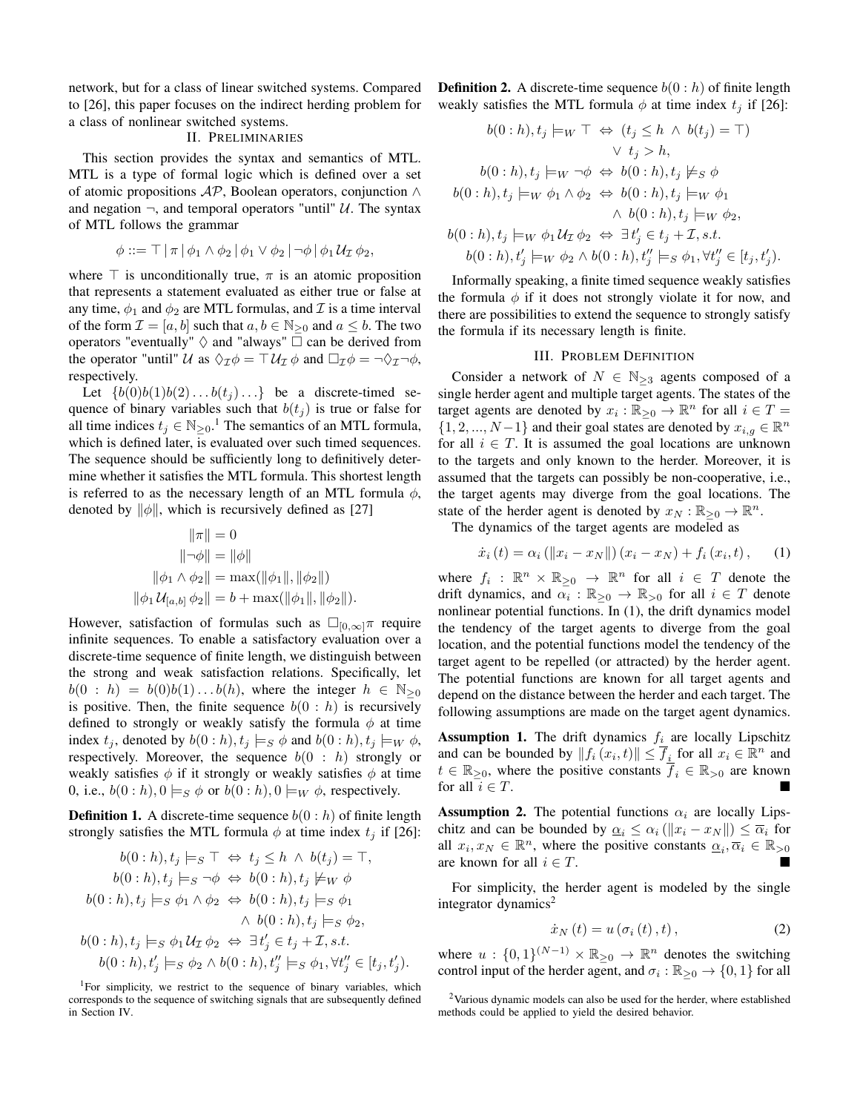network, but for a class of linear switched systems. Compared to [26], this paper focuses on the indirect herding problem for a class of nonlinear switched systems.

# II. PRELIMINARIES

This section provides the syntax and semantics of MTL. MTL is a type of formal logic which is defined over a set of atomic propositions  $AP$ , Boolean operators, conjunction  $\land$ and negation  $\neg$ , and temporal operators "until" U. The syntax of MTL follows the grammar

$$
\phi ::= \top | \pi | \phi_1 \wedge \phi_2 | \phi_1 \vee \phi_2 | \neg \phi | \phi_1 \mathcal{U}_{\mathcal{I}} \phi_2,
$$

where  $\top$  is unconditionally true,  $\pi$  is an atomic proposition that represents a statement evaluated as either true or false at any time,  $\phi_1$  and  $\phi_2$  are MTL formulas, and  $\mathcal I$  is a time interval of the form  $\mathcal{I} = [a, b]$  such that  $a, b \in \mathbb{N}_{\geq 0}$  and  $a \leq b$ . The two operators "eventually"  $\diamondsuit$  and "always"  $\Box$  can be derived from the operator "until" U as  $\Diamond \tau \phi = \top U_{\mathcal{I}} \phi$  and  $\Box \tau \phi = \neg \Diamond \tau \neg \phi$ , respectively.

Let  $\{b(0)b(1)b(2)...b(t_j)... \}$  be a discrete-timed sequence of binary variables such that  $b(t_j)$  is true or false for all time indices  $t_j \in \mathbb{N}_{\geq 0}$ .<sup>1</sup> The semantics of an MTL formula, which is defined later, is evaluated over such timed sequences. The sequence should be sufficiently long to definitively determine whether it satisfies the MTL formula. This shortest length is referred to as the necessary length of an MTL formula  $\phi$ , denoted by  $\|\phi\|$ , which is recursively defined as [27]

$$
\|\pi\| = 0
$$
  
\n
$$
\|\neg \phi\| = \|\phi\|
$$
  
\n
$$
\|\phi_1 \wedge \phi_2\| = \max(\|\phi_1\|, \|\phi_2\|)
$$
  
\n
$$
\|\phi_1 U_{[a,b]} \phi_2\| = b + \max(\|\phi_1\|, \|\phi_2\|).
$$

However, satisfaction of formulas such as  $\square_{[0,\infty]}\pi$  require infinite sequences. To enable a satisfactory evaluation over a discrete-time sequence of finite length, we distinguish between the strong and weak satisfaction relations. Specifically, let  $b(0 : h) = b(0)b(1)...b(h)$ , where the integer  $h \in \mathbb{N}_{\geq 0}$ is positive. Then, the finite sequence  $b(0 : h)$  is recursively defined to strongly or weakly satisfy the formula  $\phi$  at time index  $t_j$ , denoted by  $b(0 : h), t_j \models_S \phi$  and  $b(0 : h), t_j \models_W \phi$ , respectively. Moreover, the sequence  $b(0 : h)$  strongly or weakly satisfies  $\phi$  if it strongly or weakly satisfies  $\phi$  at time 0, i.e.,  $b(0 : h)$ ,  $0 \models_S \phi$  or  $b(0 : h)$ ,  $0 \models_W \phi$ , respectively.

**Definition 1.** A discrete-time sequence  $b(0 : h)$  of finite length strongly satisfies the MTL formula  $\phi$  at time index  $t_j$  if [26]:

$$
b(0:h), t_j \models_S \top \Leftrightarrow t_j \leq h \wedge b(t_j) = \top,
$$
  
\n
$$
b(0:h), t_j \models_S \neg \phi \Leftrightarrow b(0:h), t_j \not\models w \phi
$$
  
\n
$$
b(0:h), t_j \models_S \phi_1 \wedge \phi_2 \Leftrightarrow b(0:h), t_j \models_S \phi_1
$$
  
\n
$$
\wedge b(0:h), t_j \models_S \phi_2,
$$
  
\n
$$
b(0:h), t_j \models_S \phi_1 \mathcal{U}_\mathcal{I} \phi_2 \Leftrightarrow \exists t'_j \in t_j + \mathcal{I}, s.t.
$$
  
\n
$$
b(0:h), t'_j \models_S \phi_2 \wedge b(0:h), t''_j \models_S \phi_1, \forall t''_j \in [t_j, t'_j).
$$

<sup>1</sup>For simplicity, we restrict to the sequence of binary variables, which corresponds to the sequence of switching signals that are subsequently defined in Section IV.

**Definition 2.** A discrete-time sequence  $b(0 : h)$  of finite length weakly satisfies the MTL formula  $\phi$  at time index  $t_i$  if [26]:

$$
b(0:h), t_j \models_W \top \Leftrightarrow (t_j \leq h \land b(t_j) = \top)
$$
  
\n
$$
\lor t_j > h,
$$
  
\n
$$
b(0:h), t_j \models_W \neg \phi \Leftrightarrow b(0:h), t_j \not\models_S \phi
$$
  
\n
$$
b(0:h), t_j \models_W \phi_1 \land \phi_2 \Leftrightarrow b(0:h), t_j \models_W \phi_1
$$
  
\n
$$
\land b(0:h), t_j \models_W \phi_2,
$$
  
\n
$$
b(0:h), t_j \models_W \phi_1 \mathcal{U}_1 \phi_2 \Leftrightarrow \exists t'_j \in t_j + \mathcal{I}, s.t.
$$
  
\n
$$
b(0:h), t'_j \models_W \phi_2 \land b(0:h), t''_j \models_S \phi_1, \forall t''_j \in [t_j, t'_j).
$$

Informally speaking, a finite timed sequence weakly satisfies the formula  $\phi$  if it does not strongly violate it for now, and there are possibilities to extend the sequence to strongly satisfy the formula if its necessary length is finite.

## III. PROBLEM DEFINITION

Consider a network of  $N \in \mathbb{N}_{\geq 3}$  agents composed of a single herder agent and multiple target agents. The states of the target agents are denoted by  $x_i : \mathbb{R}_{\geq 0} \to \mathbb{R}^n$  for all  $i \in T =$  $\{1, 2, ..., N-1\}$  and their goal states are denoted by  $x_{i,q} \in \mathbb{R}^n$ for all  $i \in T$ . It is assumed the goal locations are unknown to the targets and only known to the herder. Moreover, it is assumed that the targets can possibly be non-cooperative, i.e., the target agents may diverge from the goal locations. The state of the herder agent is denoted by  $x_N : \mathbb{R}_{\geq 0} \to \mathbb{R}^n$ .

The dynamics of the target agents are modeled as

$$
\dot{x}_{i}(t) = \alpha_{i} (\|x_{i} - x_{N}\|) (x_{i} - x_{N}) + f_{i}(x_{i}, t), \quad (1)
$$

where  $f_i: \mathbb{R}^n \times \mathbb{R}_{\geq 0} \to \mathbb{R}^n$  for all  $i \in T$  denote the drift dynamics, and  $\alpha_i : \mathbb{R}_{\geq 0} \to \mathbb{R}_{>0}$  for all  $i \in T$  denote nonlinear potential functions. In (1), the drift dynamics model the tendency of the target agents to diverge from the goal location, and the potential functions model the tendency of the target agent to be repelled (or attracted) by the herder agent. The potential functions are known for all target agents and depend on the distance between the herder and each target. The following assumptions are made on the target agent dynamics.

**Assumption 1.** The drift dynamics  $f_i$  are locally Lipschitz and can be bounded by  $||f_i(x_i, t)|| \leq \overline{f}_i$  for all  $x_i \in \mathbb{R}^n$  and  $t \in \mathbb{R}_{\geq 0}$ , where the positive constants  $\overline{f}_i \in \mathbb{R}_{\geq 0}$  are known for all  $i \in T$ .

**Assumption 2.** The potential functions  $\alpha_i$  are locally Lipschitz and can be bounded by  $\underline{\alpha}_i \leq \alpha_i (\Vert x_i - x_N \Vert) \leq \overline{\alpha}_i$  for all  $x_i, x_N \in \mathbb{R}^n$ , where the positive constants  $\underline{\alpha}_i, \overline{\alpha}_i \in \mathbb{R}_{>0}$ are known for all  $i \in T$ .

For simplicity, the herder agent is modeled by the single integrator dynamics<sup>2</sup>

$$
\dot{x}_N\left(t\right) = u\left(\sigma_i\left(t\right),t\right),\tag{2}
$$

where  $u : \{0,1\}^{(N-1)} \times \mathbb{R}_{\geq 0} \to \mathbb{R}^n$  denotes the switching control input of the herder agent, and  $\sigma_i : \mathbb{R}_{\geq 0} \to \{0, 1\}$  for all

<sup>&</sup>lt;sup>2</sup>Various dynamic models can also be used for the herder, where established methods could be applied to yield the desired behavior.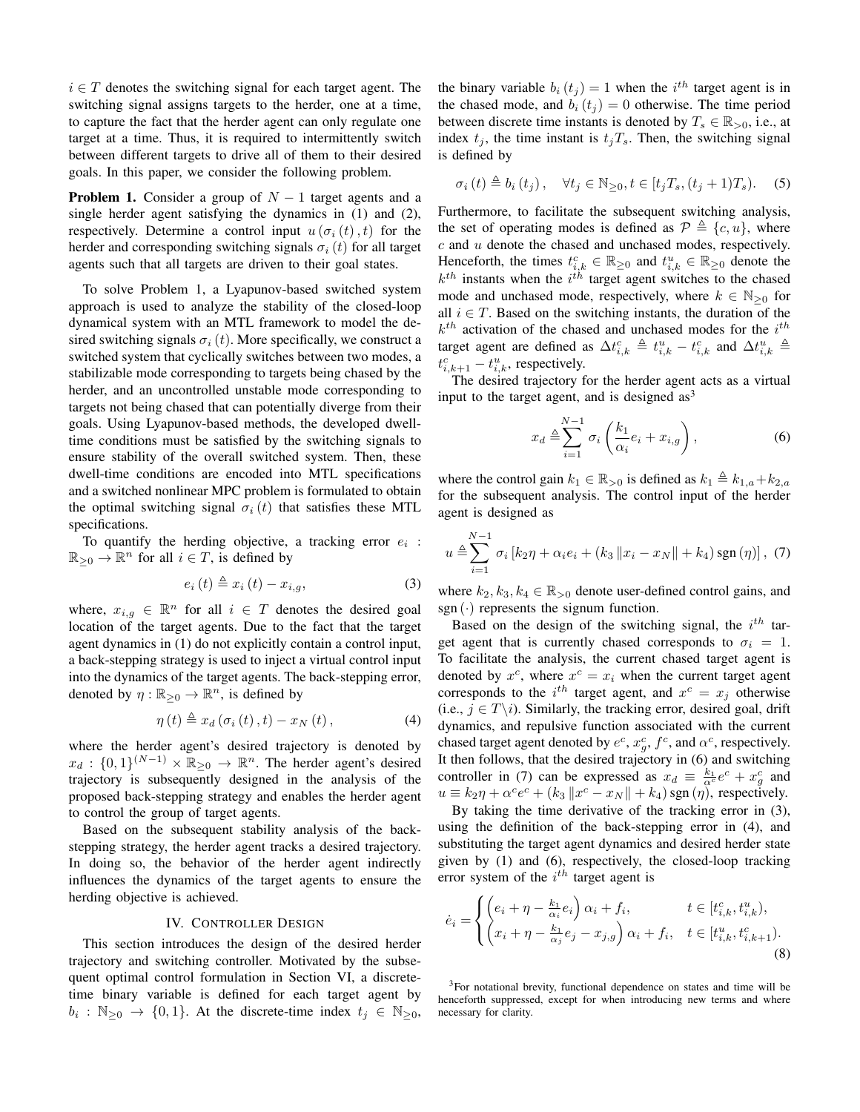$i \in T$  denotes the switching signal for each target agent. The switching signal assigns targets to the herder, one at a time, to capture the fact that the herder agent can only regulate one target at a time. Thus, it is required to intermittently switch between different targets to drive all of them to their desired goals. In this paper, we consider the following problem.

**Problem 1.** Consider a group of  $N - 1$  target agents and a single herder agent satisfying the dynamics in (1) and (2), respectively. Determine a control input  $u(\sigma_i(t), t)$  for the herder and corresponding switching signals  $\sigma_i (t)$  for all target agents such that all targets are driven to their goal states.

To solve Problem 1, a Lyapunov-based switched system approach is used to analyze the stability of the closed-loop dynamical system with an MTL framework to model the desired switching signals  $\sigma_i(t)$ . More specifically, we construct a switched system that cyclically switches between two modes, a stabilizable mode corresponding to targets being chased by the herder, and an uncontrolled unstable mode corresponding to targets not being chased that can potentially diverge from their goals. Using Lyapunov-based methods, the developed dwelltime conditions must be satisfied by the switching signals to ensure stability of the overall switched system. Then, these dwell-time conditions are encoded into MTL specifications and a switched nonlinear MPC problem is formulated to obtain the optimal switching signal  $\sigma_i(t)$  that satisfies these MTL specifications.

To quantify the herding objective, a tracking error  $e_i$ :  $\mathbb{R}_{\geq 0} \to \mathbb{R}^n$  for all  $i \in T$ , is defined by

$$
e_i(t) \triangleq x_i(t) - x_{i,g}, \tag{3}
$$

where,  $x_{i,g} \in \mathbb{R}^n$  for all  $i \in T$  denotes the desired goal location of the target agents. Due to the fact that the target agent dynamics in (1) do not explicitly contain a control input, a back-stepping strategy is used to inject a virtual control input into the dynamics of the target agents. The back-stepping error, denoted by  $\eta : \mathbb{R}_{\geq 0} \to \mathbb{R}^n$ , is defined by

$$
\eta(t) \triangleq x_d \left(\sigma_i\left(t\right), t\right) - x_N\left(t\right),\tag{4}
$$

where the herder agent's desired trajectory is denoted by  $x_d : \{0,1\}^{(N-1)} \times \mathbb{R}_{\geq 0} \to \mathbb{R}^n$ . The herder agent's desired trajectory is subsequently designed in the analysis of the proposed back-stepping strategy and enables the herder agent to control the group of target agents.

Based on the subsequent stability analysis of the backstepping strategy, the herder agent tracks a desired trajectory. In doing so, the behavior of the herder agent indirectly influences the dynamics of the target agents to ensure the herding objective is achieved.

#### IV. CONTROLLER DESIGN

This section introduces the design of the desired herder trajectory and switching controller. Motivated by the subsequent optimal control formulation in Section VI, a discretetime binary variable is defined for each target agent by  $b_i : \mathbb{N}_{\geq 0} \to \{0, 1\}.$  At the discrete-time index  $t_j \in \mathbb{N}_{\geq 0}$ ,

the binary variable  $b_i(t_j) = 1$  when the i<sup>th</sup> target agent is in the chased mode, and  $b_i(t_j) = 0$  otherwise. The time period between discrete time instants is denoted by  $T_s \in \mathbb{R}_{>0}$ , i.e., at index  $t_j$ , the time instant is  $t_jT_s$ . Then, the switching signal is defined by

$$
\sigma_i(t) \triangleq b_i(t_j), \quad \forall t_j \in \mathbb{N}_{\geq 0}, t \in [t_j T_s, (t_j + 1)T_s). \quad (5)
$$

Furthermore, to facilitate the subsequent switching analysis, the set of operating modes is defined as  $\mathcal{P} \triangleq \{c, u\}$ , where  $c$  and  $u$  denote the chased and unchased modes, respectively. Henceforth, the times  $t_{i,k}^c \in \mathbb{R}_{\geq 0}$  and  $t_{i,k}^u \in \mathbb{R}_{\geq 0}$  denote the  $k^{th}$  instants when the  $i^{th}$  target agent switches to the chased mode and unchased mode, respectively, where  $k \in \mathbb{N}_{\geq 0}$  for all  $i \in T$ . Based on the switching instants, the duration of the  $k^{th}$  activation of the chased and unchased modes for the  $i^{th}$ target agent are defined as  $\Delta t_{i,k}^c \triangleq t_{i,k}^u - t_{i,k}^c$  and  $\Delta t_{i,k}^u \triangleq$  $t_{i,k+1}^c - t_{i,k}^u$ , respectively.

The desired trajectory for the herder agent acts as a virtual input to the target agent, and is designed  $as<sup>3</sup>$ 

$$
x_d \triangleq \sum_{i=1}^{N-1} \sigma_i \left( \frac{k_1}{\alpha_i} e_i + x_{i,g} \right), \tag{6}
$$

where the control gain  $k_1 \in \mathbb{R}_{>0}$  is defined as  $k_1 \triangleq k_{1,a} + k_{2,a}$ for the subsequent analysis. The control input of the herder agent is designed as

$$
u \triangleq \sum_{i=1}^{N-1} \sigma_i [k_2 \eta + \alpha_i e_i + (k_3 ||x_i - x_N|| + k_4) \operatorname{sgn}(\eta)], \tag{7}
$$

where  $k_2, k_3, k_4 \in \mathbb{R}_{>0}$  denote user-defined control gains, and sgn  $(\cdot)$  represents the signum function.

Based on the design of the switching signal, the  $i^{th}$  target agent that is currently chased corresponds to  $\sigma_i = 1$ . To facilitate the analysis, the current chased target agent is denoted by  $x^c$ , where  $x^c = x_i$  when the current target agent corresponds to the  $i^{th}$  target agent, and  $x^c = x_j$  otherwise (i.e.,  $j \in T \backslash i$ ). Similarly, the tracking error, desired goal, drift dynamics, and repulsive function associated with the current chased target agent denoted by  $e^c$ ,  $x_g^c$ ,  $f^c$ , and  $\alpha^c$ , respectively. It then follows, that the desired trajectory in (6) and switching controller in (7) can be expressed as  $x_d \equiv \frac{k_1}{\alpha^c}e^c + x_g^c$  and  $u \equiv k_2 \eta + \alpha^c e^c + (k_3 ||x^c - x_N|| + k_4)$  sgn $(\eta)$ , respectively.

By taking the time derivative of the tracking error in (3), using the definition of the back-stepping error in (4), and substituting the target agent dynamics and desired herder state given by (1) and (6), respectively, the closed-loop tracking error system of the  $i^{th}$  target agent is

$$
\dot{e}_i = \begin{cases} \left(e_i + \eta - \frac{k_1}{\alpha_i} e_i\right) \alpha_i + f_i, & t \in [t_{i,k}^c, t_{i,k}^u),\\ \left(x_i + \eta - \frac{k_1}{\alpha_j} e_j - x_{j,g}\right) \alpha_i + f_i, & t \in [t_{i,k}^u, t_{i,k+1}^c). \end{cases}
$$
\n(8)

<sup>3</sup>For notational brevity, functional dependence on states and time will be henceforth suppressed, except for when introducing new terms and where necessary for clarity.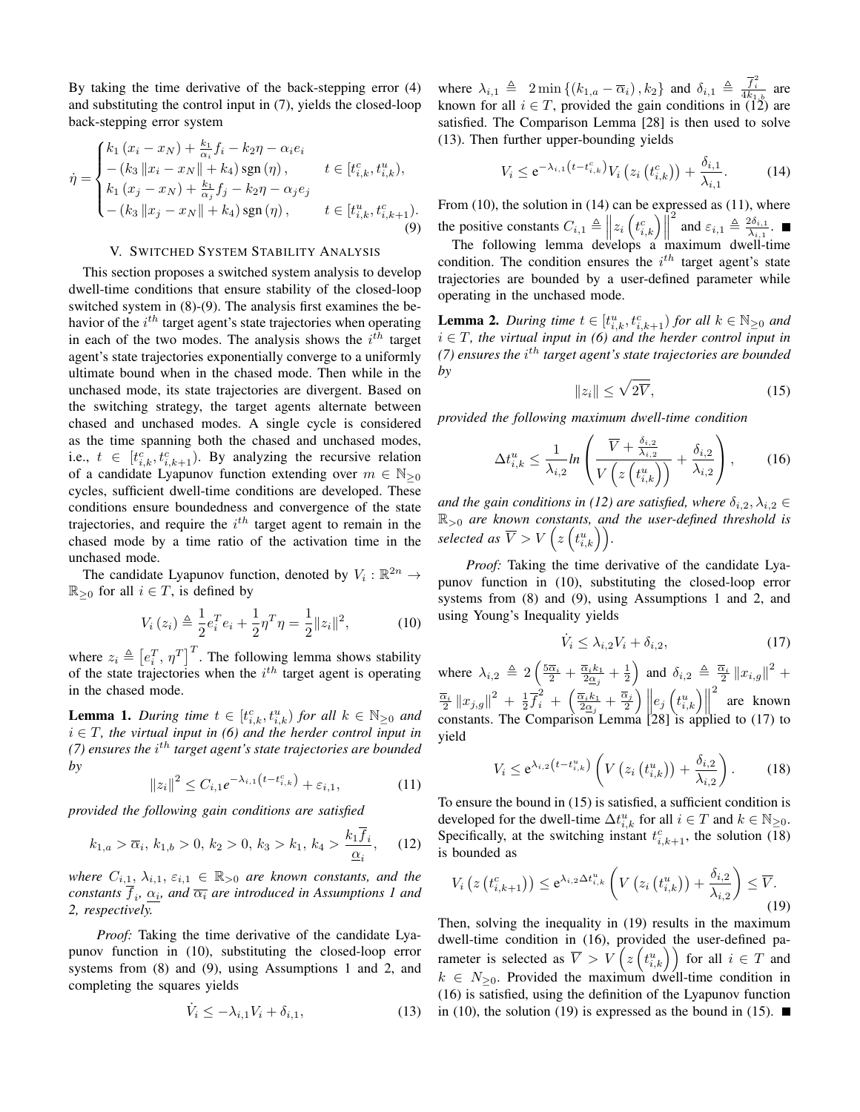By taking the time derivative of the back-stepping error (4) and substituting the control input in (7), yields the closed-loop back-stepping error system

$$
\dot{\eta} = \begin{cases} k_1 (x_i - x_N) + \frac{k_1}{\alpha_i} f_i - k_2 \eta - \alpha_i e_i \\ - (k_3 \|x_i - x_N\| + k_4) \operatorname{sgn}(\eta), & t \in [t_{i,k}^c, t_{i,k}^u), \\ k_1 (x_j - x_N) + \frac{k_1}{\alpha_j} f_j - k_2 \eta - \alpha_j e_j \\ - (k_3 \|x_j - x_N\| + k_4) \operatorname{sgn}(\eta), & t \in [t_{i,k}^u, t_{i,k+1}^c). \end{cases}
$$
(9)

#### V. SWITCHED SYSTEM STABILITY ANALYSIS

This section proposes a switched system analysis to develop dwell-time conditions that ensure stability of the closed-loop switched system in (8)-(9). The analysis first examines the behavior of the  $i^{th}$  target agent's state trajectories when operating in each of the two modes. The analysis shows the  $i^{th}$  target agent's state trajectories exponentially converge to a uniformly ultimate bound when in the chased mode. Then while in the unchased mode, its state trajectories are divergent. Based on the switching strategy, the target agents alternate between chased and unchased modes. A single cycle is considered as the time spanning both the chased and unchased modes, i.e.,  $t \in [t_{i,k}^c, t_{i,k+1}^c)$ . By analyzing the recursive relation of a candidate Lyapunov function extending over  $m \in \mathbb{N}_{\geq 0}$ cycles, sufficient dwell-time conditions are developed. These conditions ensure boundedness and convergence of the state trajectories, and require the  $i^{th}$  target agent to remain in the chased mode by a time ratio of the activation time in the unchased mode.

The candidate Lyapunov function, denoted by  $V_i : \mathbb{R}^{2n} \to$  $\mathbb{R}_{\geq 0}$  for all  $i \in T$ , is defined by

$$
V_i(z_i) \triangleq \frac{1}{2} e_i^T e_i + \frac{1}{2} \eta^T \eta = \frac{1}{2} ||z_i||^2, \tag{10}
$$

where  $z_i \triangleq [e_i^T, \eta^T]^T$ . The following lemma shows stability of the state trajectories when the  $i^{th}$  target agent is operating in the chased mode.

**Lemma 1.** *During time*  $t \in [t_{i,k}^c, t_{i,k}^u)$  *for all*  $k \in \mathbb{N}_{\geq 0}$  *and* i ∈ T*, the virtual input in (6) and the herder control input in (7) ensures the i<sup>th</sup> target agent's state trajectories are bounded by*

$$
||z_i||^2 \le C_{i,1} e^{-\lambda_{i,1} \left(t - t_{i,k}^c\right)} + \varepsilon_{i,1},\tag{11}
$$

*provided the following gain conditions are satisfied*

$$
k_{1,a} > \overline{\alpha}_i, k_{1,b} > 0, k_2 > 0, k_3 > k_1, k_4 > \frac{k_1 f_i}{\underline{\alpha}_i}, \quad (12)
$$

*where*  $C_{i,1}$ ,  $\lambda_{i,1}$ ,  $\varepsilon_{i,1} \in \mathbb{R}_{>0}$  *are known constants, and the*  $\emph{constants}$   $f_i$ ,  $\underline{\alpha_i}$ , and  $\overline{\alpha_i}$  are introduced in Assumptions 1 and *2, respectively.*

*Proof:* Taking the time derivative of the candidate Lyapunov function in (10), substituting the closed-loop error systems from (8) and (9), using Assumptions 1 and 2, and completing the squares yields

$$
\dot{V}_i \le -\lambda_{i,1} V_i + \delta_{i,1},\tag{13}
$$

where  $\lambda_{i,1} \triangleq 2 \min \{(k_{1,a} - \overline{\alpha}_i), k_2\}$  and  $\delta_{i,1} \triangleq \frac{\overline{f}_i^2}{4k_{1,b}}$  are known for all  $i \in T$ , provided the gain conditions in (12) are satisfied. The Comparison Lemma [28] is then used to solve (13). Then further upper-bounding yields

$$
V_i \le e^{-\lambda_{i,1}(t - t_{i,k}^c)} V_i \left( z_i \left( t_{i,k}^c \right) \right) + \frac{\delta_{i,1}}{\lambda_{i,1}}.
$$
 (14)

From (10), the solution in (14) can be expressed as (11), where the positive constants  $C_{i,1} \triangleq \left\| z_i \left( t_{i,k}^c \right) \right\|$ <br>The following Jamma davelope a <sup>2</sup> and  $\varepsilon_{i,1} \triangleq \frac{2\delta_{i,1}}{\lambda_{i,1}}$  $\frac{z\sigma_{i,1}}{\lambda_{i,1}}.$ 

The following lemma develops a maximum dwell-time condition. The condition ensures the  $i^{th}$  target agent's state trajectories are bounded by a user-defined parameter while operating in the unchased mode.

**Lemma 2.** *During time*  $t \in [t_{i,k}^u, t_{i,k+1}^c)$  *for all*  $k \in \mathbb{N}_{\geq 0}$  *and*  $i \in T$ , the virtual input in (6) and the herder control input in *(7) ensures the i<sup>th</sup> target agent's state trajectories are bounded by*

$$
||z_i|| \le \sqrt{2\overline{V}},\tag{15}
$$

*provided the following maximum dwell-time condition*

$$
\Delta t_{i,k}^u \le \frac{1}{\lambda_{i,2}} \ln \left( \frac{\overline{V} + \frac{\delta_{i,2}}{\lambda_{i,2}}}{V \left( z \left( t_{i,k}^u \right) \right)} + \frac{\delta_{i,2}}{\lambda_{i,2}} \right), \quad (16)
$$

*and the gain conditions in (12) are satisfied, where*  $\delta_{i,2}, \lambda_{i,2} \in$ R><sup>0</sup> *are known constants, and the user-defined threshold is* selected as  $\overline{V} > V\left(z\left(t_{i,k}^u\right)\right)$ .

*Proof:* Taking the time derivative of the candidate Lyapunov function in (10), substituting the closed-loop error systems from (8) and (9), using Assumptions 1 and 2, and using Young's Inequality yields

$$
\dot{V}_i \le \lambda_{i,2} V_i + \delta_{i,2},\tag{17}
$$

where  $\lambda_{i,2} \triangleq 2\left(\frac{5\overline{\alpha}_i}{2} + \frac{\overline{\alpha}_ik_1}{2\alpha_j} + \frac{1}{2}\right)$  and  $\delta_{i,2} \triangleq \frac{\overline{\alpha}_i}{2} ||x_{i,g}||^2 +$  $\frac{\overline{\alpha}_i}{2} \|x_{j,g}\|^2 + \frac{1}{2} \overline{f}_i^2 + \left( \frac{\overline{\alpha}_i k_1}{2 \alpha_j} + \frac{\overline{\alpha}_j}{2} \right) \|e_j \left( t_{i,k}^u \right)\|$ 2 are known constants. The Comparison Lemma [28] is applied to (17) to yield

$$
V_i \leq e^{\lambda_{i,2}\left(t - t_{i,k}^u\right)} \left( V\left(z_i\left(t_{i,k}^u\right)\right) + \frac{\delta_{i,2}}{\lambda_{i,2}} \right). \tag{18}
$$

To ensure the bound in (15) is satisfied, a sufficient condition is developed for the dwell-time  $\Delta t_{i,k}^u$  for all  $i \in T$  and  $k \in \mathbb{N}_{\geq 0}$ . Specifically, at the switching instant  $t_{i,k+1}^c$ , the solution (18) is bounded as

$$
V_i\left(z\left(t_{i,k+1}^c\right)\right) \leq e^{\lambda_{i,2}\Delta t_{i,k}^u}\left(V\left(z_i\left(t_{i,k}^u\right)\right)+\frac{\delta_{i,2}}{\lambda_{i,2}}\right) \leq \overline{V}.
$$
\n(19)

Then, solving the inequality in (19) results in the maximum dwell-time condition in (16), provided the user-defined parameter is selected as  $\overline{V} > V\left(z\left(t_{i,k}^u\right)\right)$  for all  $i \in T$  and  $k \in N_{\geq 0}$ . Provided the maximum dwell-time condition in (16) is satisfied, using the definition of the Lyapunov function in (10), the solution (19) is expressed as the bound in (15).  $\blacksquare$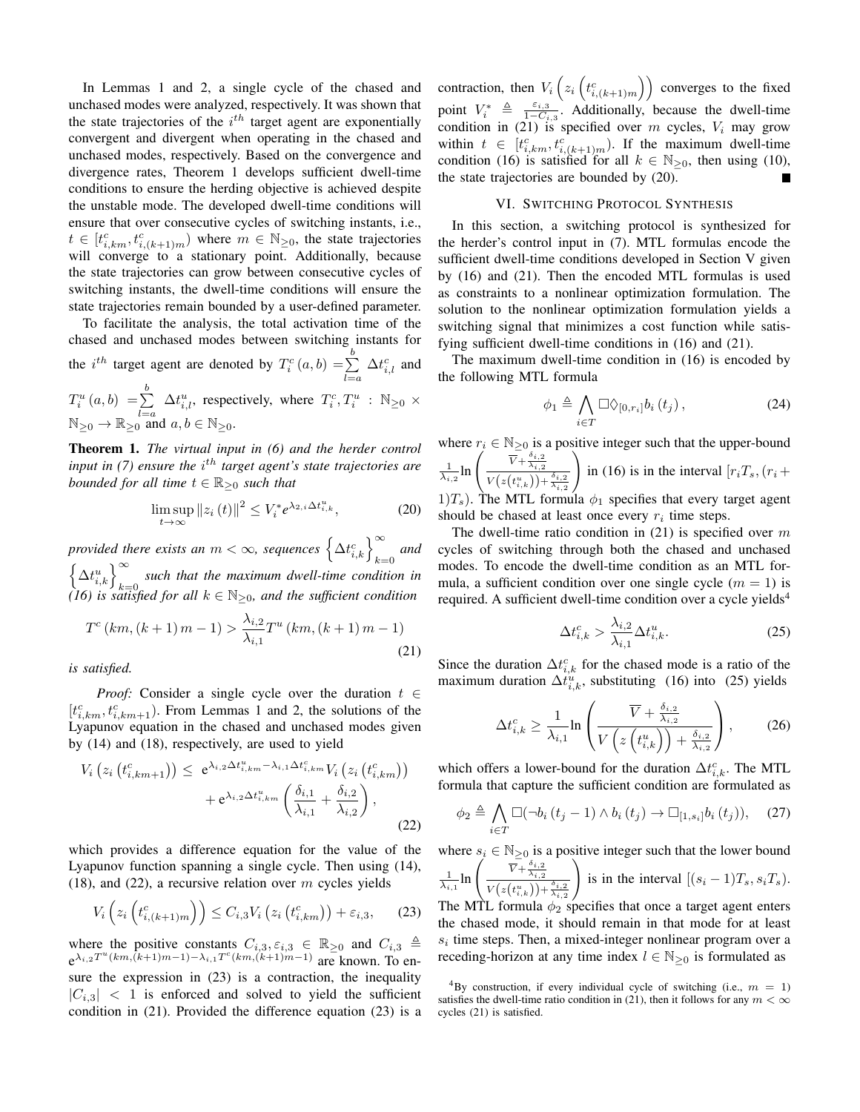In Lemmas 1 and 2, a single cycle of the chased and unchased modes were analyzed, respectively. It was shown that the state trajectories of the  $i<sup>th</sup>$  target agent are exponentially convergent and divergent when operating in the chased and unchased modes, respectively. Based on the convergence and divergence rates, Theorem 1 develops sufficient dwell-time conditions to ensure the herding objective is achieved despite the unstable mode. The developed dwell-time conditions will ensure that over consecutive cycles of switching instants, i.e.,  $t \in [t_{i,km}^c, t_{i,(k+1)m}^c)$  where  $m \in \mathbb{N}_{\geq 0}$ , the state trajectories will converge to a stationary point. Additionally, because the state trajectories can grow between consecutive cycles of switching instants, the dwell-time conditions will ensure the state trajectories remain bounded by a user-defined parameter.

To facilitate the analysis, the total activation time of the chased and unchased modes between switching instants for the *i*<sup>th</sup> target agent are denoted by  $T_i^c(a, b) = \sum^b$  $_{l=a}$  $\Delta t_{i,l}^c$  and

 $T_i^u(a,b) = \sum^b$  $_{l=a}$  $\Delta t_{i,l}^u$ , respectively, where  $T_i^c, T_i^u$  :  $\mathbb{N}_{\geq 0}$  ×  $\mathbb{N}_{\geq 0} \to \mathbb{R}_{\geq 0}$  and  $a, b \in \mathbb{N}_{\geq 0}$ .

Theorem 1. *The virtual input in (6) and the herder control input in (7) ensure the i<sup>th</sup> target agent's state trajectories are bounded for all time*  $t \in \mathbb{R}_{\geq 0}$  *such that* 

$$
\limsup_{t \to \infty} \|z_i(t)\|^2 \le V_i^* e^{\lambda_{2,i} \Delta t_{i,k}^u},\tag{20}
$$

*provided there exists an*  $m < \infty$ , sequences  $\left\{\Delta t_{i,k}^c\right\}_{k=0}^\infty$  and  $\left\{\Delta t_{i,k}^{u}\right\}_{k=0}^{\infty}$  such that the maximum dwell-time condition in *(16) is satisfied for all* k ∈ N<sup>≥</sup>0*, and the sufficient condition*

$$
T^{c}(km,(k+1)m-1) > \frac{\lambda_{i,2}}{\lambda_{i,1}}T^{u}(km,(k+1)m-1)
$$
\n(21)

*is satisfied.*

*Proof:* Consider a single cycle over the duration  $t \in$  $[t_{i,km}^c, t_{i,km+1}^c)$ . From Lemmas 1 and 2, the solutions of the Lyapunov equation in the chased and unchased modes given by (14) and (18), respectively, are used to yield

$$
V_i\left(z_i\left(t_{i,km+1}^c\right)\right) \leq e^{\lambda_{i,2}\Delta t_{i,km}^u - \lambda_{i,1}\Delta t_{i,km}^c} V_i\left(z_i\left(t_{i,km}^c\right)\right) + e^{\lambda_{i,2}\Delta t_{i,km}^u} \left(\frac{\delta_{i,1}}{\lambda_{i,1}} + \frac{\delta_{i,2}}{\lambda_{i,2}}\right),\tag{22}
$$

which provides a difference equation for the value of the Lyapunov function spanning a single cycle. Then using (14), (18), and (22), a recursive relation over  $m$  cycles yields

$$
V_i\left(z_i\left(t_{i,(k+1)m}^c\right)\right) \le C_{i,3} V_i\left(z_i\left(t_{i,km}^c\right)\right) + \varepsilon_{i,3},\qquad(23)
$$

where the positive constants  $C_{i,3}, \varepsilon_{i,3} \in \mathbb{R}_{\geq 0}$  and  $C_{i,3} \triangleq$  $e^{\lambda_{i,2}T^u(km, (k+1)m-1)-\lambda_{i,1}T^c(km, (k+1)m-1)}$  are known. To ensure the expression in  $(23)$  is a contraction, the inequality  $|C_{i,3}| < 1$  is enforced and solved to yield the sufficient condition in (21). Provided the difference equation (23) is a contraction, then  $V_i\left(z_i\left(t_{i,(k+1)m}^c\right)\right)$  converges to the fixed point  $V_i^* \triangleq \frac{\varepsilon_{i,3}}{1 - C_i}$  $\frac{\varepsilon_{i,3}}{1-C_{i,3}}$ . Additionally, because the dwell-time condition in (21) is specified over m cycles,  $V_i$  may grow within  $t \in [t_{i,km}^c, t_{i,(k+1)m}^c)$ . If the maximum dwell-time condition (16) is satisfied for all  $k \in \mathbb{N}_{\geq 0}$ , then using (10), the state trajectories are bounded by (20).

### VI. SWITCHING PROTOCOL SYNTHESIS

In this section, a switching protocol is synthesized for the herder's control input in (7). MTL formulas encode the sufficient dwell-time conditions developed in Section V given by (16) and (21). Then the encoded MTL formulas is used as constraints to a nonlinear optimization formulation. The solution to the nonlinear optimization formulation yields a switching signal that minimizes a cost function while satisfying sufficient dwell-time conditions in (16) and (21).

The maximum dwell-time condition in (16) is encoded by the following MTL formula

$$
\phi_1 \triangleq \bigwedge_{i \in T} \Box \Diamond_{[0,r_i]} b_i(t_j) , \qquad (24)
$$

where  $r_i \in \mathbb{N}_{\geq 0}$  is a positive integer such that the upper-bound  $\frac{1}{\lambda_{i,2}} \ln \left( \frac{\overline{V} + \frac{\delta_{i,2}}{\lambda_{i,2}}}{\frac{\sqrt{2} \left( \frac{1}{2} \left( \frac{1}{2} u_{-1} \right) \right) + 1}{\sqrt{2} \left( \frac{1}{2} \left( \frac{1}{2} u_{-1} \right) \right) + 1}} \right)$  $V(z(t_{i,k}^u)) + \frac{\delta_{i,2}}{\lambda_{i,2}}$  $\setminus$ in (16) is in the interval  $[r_iT_s,(r_i +$ 1) $T_s$ ). The MTL formula  $\phi_1$  specifies that every target agent should be chased at least once every  $r_i$  time steps.

The dwell-time ratio condition in  $(21)$  is specified over m cycles of switching through both the chased and unchased modes. To encode the dwell-time condition as an MTL formula, a sufficient condition over one single cycle  $(m = 1)$  is required. A sufficient dwell-time condition over a cycle yields<sup>4</sup>

$$
\Delta t_{i,k}^c > \frac{\lambda_{i,2}}{\lambda_{i,1}} \Delta t_{i,k}^u.
$$
\n(25)

Since the duration  $\Delta t_{i,k}^c$  for the chased mode is a ratio of the maximum duration  $\Delta t_{i,k}^u$ , substituting (16) into (25) yields

$$
\Delta t_{i,k}^c \ge \frac{1}{\lambda_{i,1}} \ln \left( \frac{\overline{V} + \frac{\delta_{i,2}}{\lambda_{i,2}}}{V \left( z \left( t_{i,k}^u \right) \right) + \frac{\delta_{i,2}}{\lambda_{i,2}}} \right), \quad (26)
$$

which offers a lower-bound for the duration  $\Delta t_{i,k}^c$ . The MTL formula that capture the sufficient condition are formulated as

$$
\phi_2 \triangleq \bigwedge_{i \in T} \Box(\neg b_i(t_j - 1) \land b_i(t_j) \rightarrow \Box_{[1,s_i]} b_i(t_j)), \quad (27)
$$

where  $s_i \in \mathbb{N}_{\geq 0}$  is a positive integer such that the lower bound

$$
\frac{1}{\lambda_{i,1}} \ln \left( \frac{\overline{V} + \frac{\delta_{i,2}}{\lambda_{i,2}}}{V(z(t_{i,k}^u)) + \frac{\delta_{i,2}}{\lambda_{i,2}}} \right) \text{ is in the interval } [(s_i - 1)T_s, s_i T_s).
$$
  
The MT formula do specifies that once a target agent enters

The MTL formula  $\phi_2$  specifies that once a target agent enters the chased mode, it should remain in that mode for at least  $s_i$  time steps. Then, a mixed-integer nonlinear program over a receding-horizon at any time index  $l \in \mathbb{N}_{\geq 0}$  is formulated as

<sup>&</sup>lt;sup>4</sup>By construction, if every individual cycle of switching (i.e.,  $m = 1$ ) satisfies the dwell-time ratio condition in (21), then it follows for any  $m < \infty$ cycles (21) is satisfied.